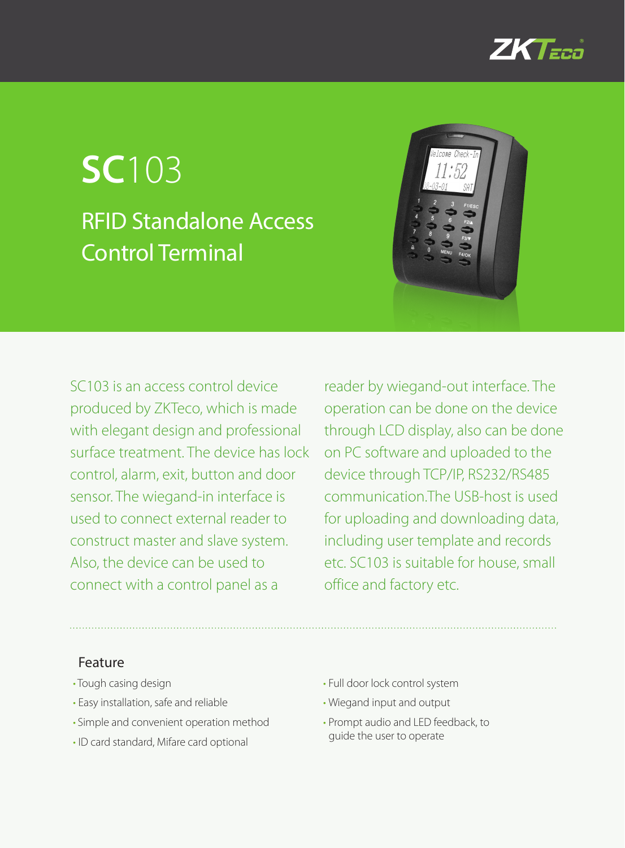

# **SC**103 RFID Standalone Access Control Terminal



SC103 is an access control device produced by ZKTeco, which is made with elegant design and professional surface treatment. The device has lock control, alarm, exit, button and door sensor. The wiegand-in interface is used to connect external reader to construct master and slave system. Also, the device can be used to connect with a control panel as a

reader by wiegand-out interface. The operation can be done on the device through LCD display, also can be done on PC software and uploaded to the device through TCP/IP, RS232/RS485 communication.The USB-host is used for uploading and downloading data, including user template and records etc. SC103 is suitable for house, small office and factory etc.

## Feature

- Tough casing design
- • Easy installation, safe and reliable
- • Simple and convenient operation method
- • ID card standard, Mifare card optional
- Full door lock control system
- • Wiegand input and output
- Prompt audio and LED feedback, to guide the user to operate